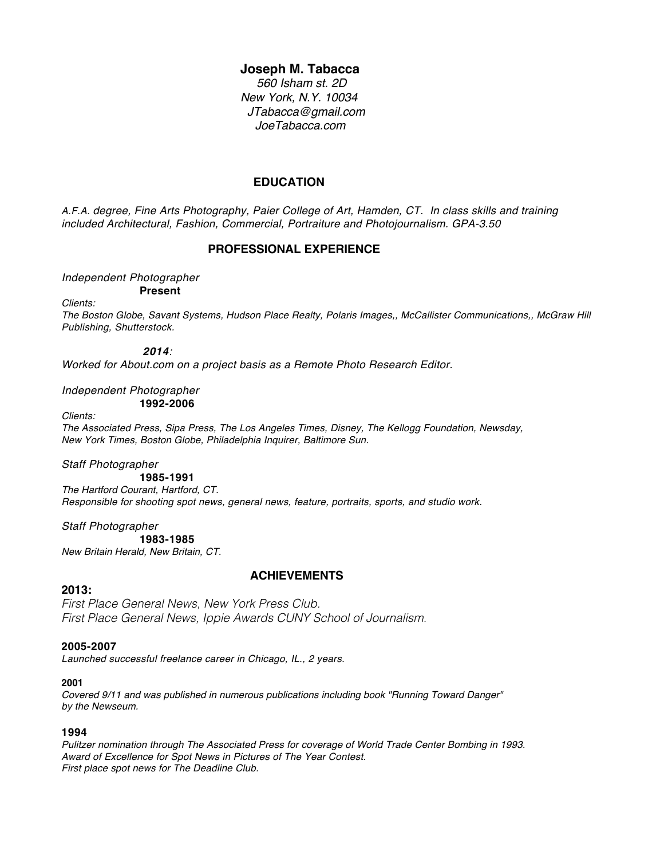## **Joseph M. Tabacca**

 *560 Isham st. 2D New York, N.Y. 10034 JTabacca@gmail.com JoeTabacca.com*

# **EDUCATION**

*A.F.A. degree, Fine Arts Photography, Paier College of Art, Hamden, CT. In class skills and training included Architectural, Fashion, Commercial, Portraiture and Photojournalism. GPA-3.50*

## **PROFESSIONAL EXPERIENCE**

# *Independent Photographer*

**Present**

*Clients:*

*The Boston Globe, Savant Systems, Hudson Place Realty, Polaris Images,, McCallister Communications,, McGraw Hill Publishing, Shutterstock.* 

## *2014:*

*Worked for About.com on a project basis as a Remote Photo Research Editor.* 

*Independent Photographer* **1992-2006**

#### *Clients:*

*The Associated Press, Sipa Press, The Los Angeles Times, Disney, The Kellogg Foundation, Newsday, New York Times, Boston Globe, Philadelphia Inquirer, Baltimore Sun.* 

## *Staff Photographer*

**1985-1991** *The Hartford Courant, Hartford, CT. Responsible for shooting spot news, general news, feature, portraits, sports, and studio work.*

*Staff Photographer*

**1983-1985** *New Britain Herald, New Britain, CT.* 

## **2013:**

## **ACHIEVEMENTS**

*First Place General News, New York Press Club. First Place General News, Ippie Awards CUNY School of Journalism.* 

## **2005-2007**

*Launched successful freelance career in Chicago, IL., 2 years.* 

## **2001**

*Covered 9/11 and was published in numerous publications including book "Running Toward Danger" by the Newseum.*

## **1994**

*Pulitzer nomination through The Associated Press for coverage of World Trade Center Bombing in 1993. Award of Excellence for Spot News in Pictures of The Year Contest. First place spot news for The Deadline Club.*